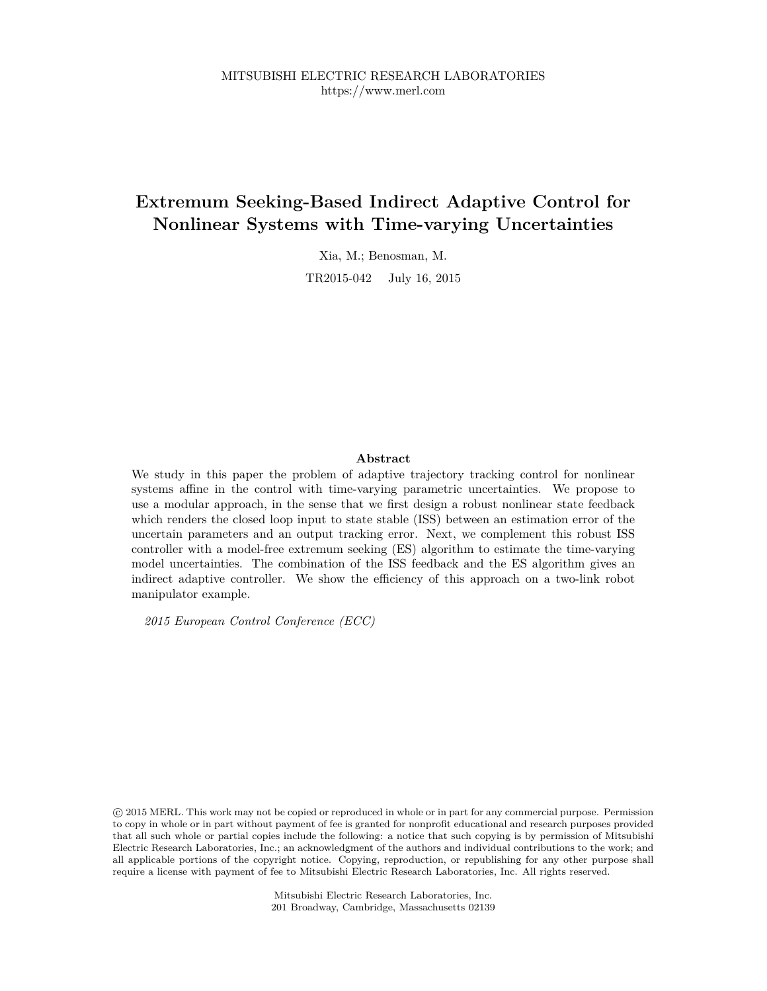## **Extremum Seeking-Based Indirect Adaptive Control for Nonlinear Systems with Time-varying Uncertainties**

Xia, M.; Benosman, M.

TR2015-042 July 16, 2015

## **Abstract**

We study in this paper the problem of adaptive trajectory tracking control for nonlinear systems affine in the control with time-varying parametric uncertainties. We propose to use a modular approach, in the sense that we first design a robust nonlinear state feedback which renders the closed loop input to state stable (ISS) between an estimation error of the uncertain parameters and an output tracking error. Next, we complement this robust ISS controller with a model-free extremum seeking (ES) algorithm to estimate the time-varying model uncertainties. The combination of the ISS feedback and the ES algorithm gives an indirect adaptive controller. We show the efficiency of this approach on a two-link robot manipulator example.

*2015 European Control Conference (ECC)*

 c 2015 MERL. This work may not be copied or reproduced in whole or in part for any commercial purpose. Permission to copy in whole or in part without payment of fee is granted for nonprofit educational and research purposes provided that all such whole or partial copies include the following: a notice that such copying is by permission of Mitsubishi Electric Research Laboratories, Inc.; an acknowledgment of the authors and individual contributions to the work; and all applicable portions of the copyright notice. Copying, reproduction, or republishing for any other purpose shall require a license with payment of fee to Mitsubishi Electric Research Laboratories, Inc. All rights reserved.

> Mitsubishi Electric Research Laboratories, Inc. 201 Broadway, Cambridge, Massachusetts 02139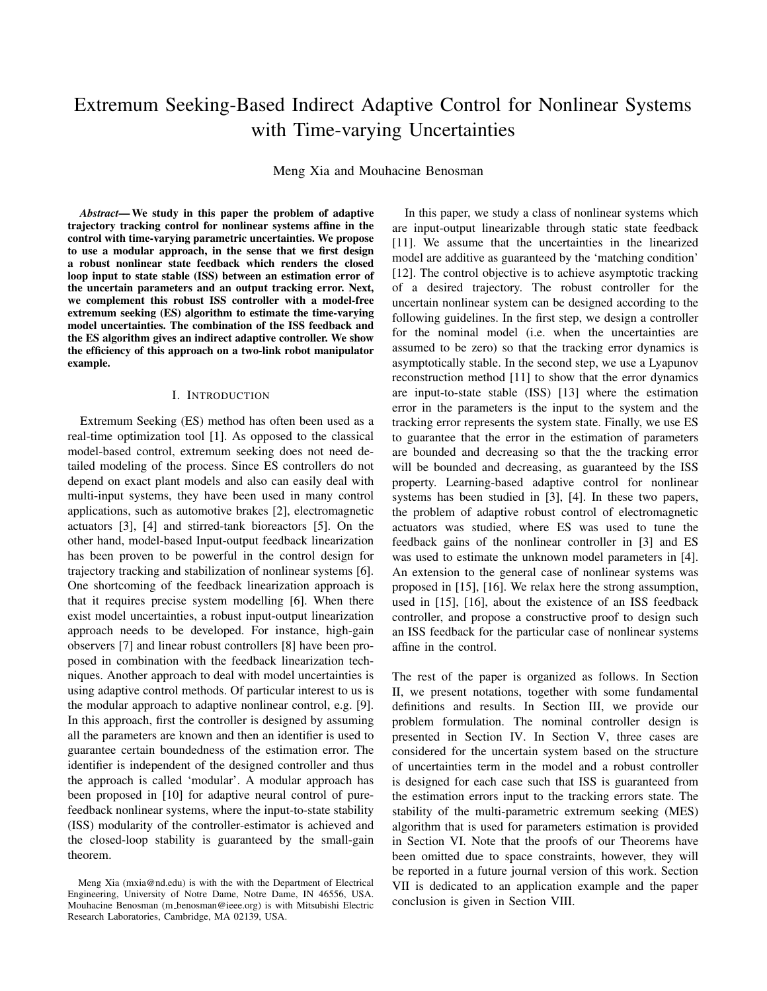# Extremum Seeking-Based Indirect Adaptive Control for Nonlinear Systems with Time-varying Uncertainties

Meng Xia and Mouhacine Benosman

*Abstract***—We study in this paper the problem of adaptive trajectory tracking control for nonlinear systems affine in the control with time-varying parametric uncertainties. We propose to use a modular approach, in the sense that we first design a robust nonlinear state feedback which renders the closed loop input to state stable (ISS) between an estimation error of the uncertain parameters and an output tracking error. Next, we complement this robust ISS controller with a model-free extremum seeking (ES) algorithm to estimate the time-varying model uncertainties. The combination of the ISS feedback and the ES algorithm gives an indirect adaptive controller. We show the efficiency of this approach on a two-link robot manipulator example.**

#### I. INTRODUCTION

Extremum Seeking (ES) method has often been used as a real-time optimization tool [1]. As opposed to the classical model-based control, extremum seeking does not need detailed modeling of the process. Since ES controllers do not depend on exact plant models and also can easily deal with multi-input systems, they have been used in many control applications, such as automotive brakes [2], electromagnetic actuators [3], [4] and stirred-tank bioreactors [5]. On the other hand, model-based Input-output feedback linearization has been proven to be powerful in the control design for trajectory tracking and stabilization of nonlinear systems [6]. One shortcoming of the feedback linearization approach is that it requires precise system modelling [6]. When there exist model uncertainties, a robust input-output linearization approach needs to be developed. For instance, high-gain observers [7] and linear robust controllers [8] have been proposed in combination with the feedback linearization techniques. Another approach to deal with model uncertainties is using adaptive control methods. Of particular interest to us is the modular approach to adaptive nonlinear control, e.g. [9]. In this approach, first the controller is designed by assuming all the parameters are known and then an identifier is used to guarantee certain boundedness of the estimation error. The identifier is independent of the designed controller and thus the approach is called 'modular'. A modular approach has been proposed in [10] for adaptive neural control of purefeedback nonlinear systems, where the input-to-state stability (ISS) modularity of the controller-estimator is achieved and the closed-loop stability is guaranteed by the small-gain theorem.

In this paper, we study a class of nonlinear systems which are input-output linearizable through static state feedback [11]. We assume that the uncertainties in the linearized model are additive as guaranteed by the 'matching condition' [12]. The control objective is to achieve asymptotic tracking of a desired trajectory. The robust controller for the uncertain nonlinear system can be designed according to the following guidelines. In the first step, we design a controller for the nominal model (i.e. when the uncertainties are assumed to be zero) so that the tracking error dynamics is asymptotically stable. In the second step, we use a Lyapunov reconstruction method [11] to show that the error dynamics are input-to-state stable (ISS) [13] where the estimation error in the parameters is the input to the system and the tracking error represents the system state. Finally, we use ES to guarantee that the error in the estimation of parameters are bounded and decreasing so that the the tracking error will be bounded and decreasing, as guaranteed by the ISS property. Learning-based adaptive control for nonlinear systems has been studied in [3], [4]. In these two papers, the problem of adaptive robust control of electromagnetic actuators was studied, where ES was used to tune the feedback gains of the nonlinear controller in [3] and ES was used to estimate the unknown model parameters in [4]. An extension to the general case of nonlinear systems was proposed in [15], [16]. We relax here the strong assumption, used in [15], [16], about the existence of an ISS feedback controller, and propose a constructive proof to design such an ISS feedback for the particular case of nonlinear systems affine in the control.

The rest of the paper is organized as follows. In Section II, we present notations, together with some fundamental definitions and results. In Section III, we provide our problem formulation. The nominal controller design is presented in Section IV. In Section V, three cases are considered for the uncertain system based on the structure of uncertainties term in the model and a robust controller is designed for each case such that ISS is guaranteed from the estimation errors input to the tracking errors state. The stability of the multi-parametric extremum seeking (MES) algorithm that is used for parameters estimation is provided in Section VI. Note that the proofs of our Theorems have been omitted due to space constraints, however, they will be reported in a future journal version of this work. Section VII is dedicated to an application example and the paper conclusion is given in Section VIII.

Meng Xia (mxia@nd.edu) is with the with the Department of Electrical Engineering, University of Notre Dame, Notre Dame, IN 46556, USA. Mouhacine Benosman (m benosman@ieee.org) is with Mitsubishi Electric Research Laboratories, Cambridge, MA 02139, USA.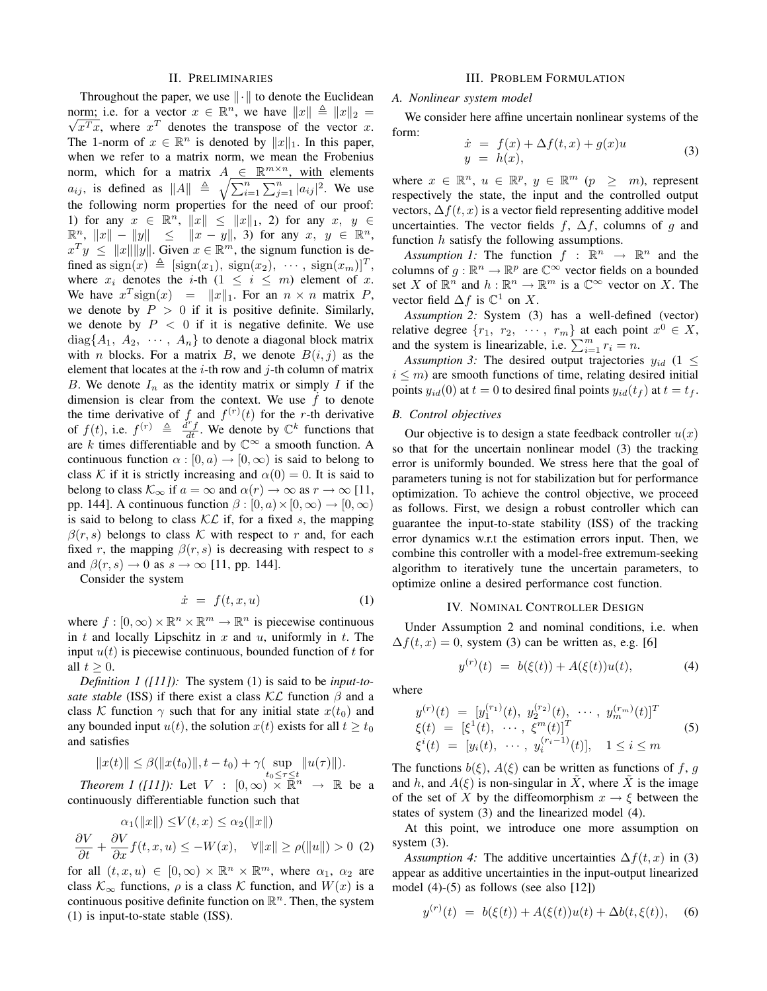### II. PRELIMINARIES

Throughout the paper, we use  $\|\cdot\|$  to denote the Euclidean norm; i.e. for a vector  $x \in \mathbb{R}^n$ , we have  $||x|| \triangleq ||x||_2 = \sqrt{x^n}$ , where  $x^T$  denotes the transpace of the vector  $x$  $\overline{x^T x}$ , where  $x^T$  denotes the transpose of the vector x. The 1-norm of  $x \in \mathbb{R}^n$  is denoted by  $||x||_1$ . In this paper, when we refer to a matrix norm, we mean the Frobenius norm, which for a matrix  $A \in \mathbb{R}^{m \times n}$ , with elements  $a_{ij}$ , is defined as  $||A|| \triangleq \sqrt{\sum_{i=1}^{n} \sum_{j=1}^{n} |a_{ij}|^2}$ . We use the following norm properties for the need of our proof: 1) for any  $x \in \mathbb{R}^n$ ,  $||x|| \le ||x||_1$ , 2) for any  $x, y \in$  $\mathbb{R}^n$ ,  $||x|| - ||y|| \le ||x - y||$ , 3) for any  $x, y \in \mathbb{R}^n$ ,  $x^T y \le ||x|| ||y||$ . Given  $x \in \mathbb{R}^m$ , the signum function is defined as  $sign(x) \triangleq [sign(x_1), sign(x_2), \cdots, sign(x_m)]^T$ , where  $x_i$  denotes the *i*-th  $(1 \le i \le m)$  element of x. We have  $x^T$  sign(x) =  $||x||_1$ . For an  $n \times n$  matrix P, we denote by  $P > 0$  if it is positive definite. Similarly, we denote by  $P < 0$  if it is negative definite. We use  $diag{A_1, A_2, \cdots, A_n}$  to denote a diagonal block matrix with *n* blocks. For a matrix *B*, we denote  $B(i, j)$  as the element that locates at the  $i$ -th row and  $j$ -th column of matrix B. We denote  $I_n$  as the identity matrix or simply I if the dimension is clear from the context. We use  $f$  to denote the time derivative of f and  $f^{(r)}(t)$  for the r-th derivative of  $f(t)$ , i.e.  $f^{(r)} \triangleq \frac{d^r f}{dt}$ . We denote by  $\mathbb{C}^k$  functions that are k times differentiable and by  $\mathbb{C}^{\infty}$  a smooth function. A continuous function  $\alpha : [0, a) \to [0, \infty)$  is said to belong to class K if it is strictly increasing and  $\alpha(0) = 0$ . It is said to belong to class  $\mathcal{K}_{\infty}$  if  $a = \infty$  and  $\alpha(r) \to \infty$  as  $r \to \infty$  [11, pp. 144]. A continuous function  $\beta$  :  $[0, a) \times [0, \infty) \rightarrow [0, \infty)$ is said to belong to class  $KL$  if, for a fixed s, the mapping  $\beta(r, s)$  belongs to class K with respect to r and, for each fixed r, the mapping  $\beta(r, s)$  is decreasing with respect to s and  $\beta(r, s) \rightarrow 0$  as  $s \rightarrow \infty$  [11, pp. 144].

Consider the system

$$
\dot{x} = f(t, x, u) \tag{1}
$$

where  $f : [0, \infty) \times \mathbb{R}^n \times \mathbb{R}^m \to \mathbb{R}^n$  is piecewise continuous in t and locally Lipschitz in x and  $u$ , uniformly in t. The input  $u(t)$  is piecewise continuous, bounded function of t for all  $t > 0$ .

*Definition 1 ([11]):* The system (1) is said to be *input-tosate stable* (ISS) if there exist a class  $\mathcal{KL}$  function  $\beta$  and a class K function  $\gamma$  such that for any initial state  $x(t_0)$  and any bounded input  $u(t)$ , the solution  $x(t)$  exists for all  $t \geq t_0$ and satisfies

$$
||x(t)|| \leq \beta(||x(t_0)||, t - t_0) + \gamma(\sup_{t_0 \leq \tau \leq t} ||u(\tau)||).
$$

*Theorem 1 ([11]):* Let  $V : [0, \infty) \times \mathbb{R}^n \to \mathbb{R}$  be a continuously differentiable function such that

$$
\frac{\alpha_1(\|x\|) \le V(t, x) \le \alpha_2(\|x\|)}{\partial t} + \frac{\partial V}{\partial x} f(t, x, u) \le -W(x), \quad \forall \|x\| \ge \rho(\|u\|) > 0 \tag{2}
$$

for all  $(t, x, u) \in [0, \infty) \times \mathbb{R}^n \times \mathbb{R}^m$ , where  $\alpha_1, \alpha_2$  are class  $\mathcal{K}_{\infty}$  functions,  $\rho$  is a class  $\mathcal K$  function, and  $W(x)$  is a continuous positive definite function on  $\mathbb{R}^n$ . Then, the system (1) is input-to-state stable (ISS).

#### III. PROBLEM FORMULATION

#### *A. Nonlinear system model*

We consider here affine uncertain nonlinear systems of the form:

$$
\dot{x} = f(x) + \Delta f(t, x) + g(x)u
$$
  
\n
$$
y = h(x),
$$
\n(3)

where  $x \in \mathbb{R}^n$ ,  $u \in \mathbb{R}^p$ ,  $y \in \mathbb{R}^m$   $(p \geq m)$ , represent respectively the state, the input and the controlled output vectors,  $\Delta f(t, x)$  is a vector field representing additive model uncertainties. The vector fields f,  $\Delta f$ , columns of g and function h satisfy the following assumptions.

*Assumption 1:* The function  $f : \mathbb{R}^n \to \mathbb{R}^n$  and the columns of  $g : \mathbb{R}^n \to \mathbb{R}^p$  are  $\mathbb{C}^\infty$  vector fields on a bounded set X of  $\mathbb{R}^n$  and  $h : \mathbb{R}^n \to \mathbb{R}^m$  is a  $\mathbb{C}^\infty$  vector on X. The vector field  $\Delta f$  is  $\mathbb{C}^1$  on X.

*Assumption 2:* System (3) has a well-defined (vector) relative degree  $\{r_1, r_2, \cdots, r_m\}$  at each point  $x^0 \in X$ , and the system is linearizable, i.e.  $\sum_{i=1}^{m} r_i = n$ .

*Assumption* 3: The desired output trajectories  $y_{id}$  (1  $\leq$  $i \leq m$ ) are smooth functions of time, relating desired initial points  $y_{id}(0)$  at  $t = 0$  to desired final points  $y_{id}(t_f)$  at  $t = t_f$ .

## *B. Control objectives*

Our objective is to design a state feedback controller  $u(x)$ so that for the uncertain nonlinear model (3) the tracking error is uniformly bounded. We stress here that the goal of parameters tuning is not for stabilization but for performance optimization. To achieve the control objective, we proceed as follows. First, we design a robust controller which can guarantee the input-to-state stability (ISS) of the tracking error dynamics w.r.t the estimation errors input. Then, we combine this controller with a model-free extremum-seeking algorithm to iteratively tune the uncertain parameters, to optimize online a desired performance cost function.

## IV. NOMINAL CONTROLLER DESIGN

Under Assumption 2 and nominal conditions, i.e. when  $\Delta f(t, x) = 0$ , system (3) can be written as, e.g. [6]

$$
y^{(r)}(t) = b(\xi(t)) + A(\xi(t))u(t), \tag{4}
$$

where

$$
y^{(r)}(t) = [y_1^{(r_1)}(t), y_2^{(r_2)}(t), \cdots, y_m^{(r_m)}(t)]^T
$$
  
\n
$$
\xi(t) = [\xi^1(t), \cdots, \xi^m(t)]^T
$$
  
\n
$$
\xi^i(t) = [y_i(t), \cdots, y_i^{(r_i-1)}(t)], \quad 1 \le i \le m
$$
\n(5)

The functions  $b(\xi)$ ,  $A(\xi)$  can be written as functions of f, g and h, and  $A(\xi)$  is non-singular in X, where X is the image of the set of X by the diffeomorphism  $x \to \xi$  between the states of system (3) and the linearized model (4).

At this point, we introduce one more assumption on system  $(3)$ .

*Assumption* 4: The additive uncertainties  $\Delta f(t, x)$  in (3) appear as additive uncertainties in the input-output linearized model  $(4)-(5)$  as follows (see also [12])

$$
y^{(r)}(t) = b(\xi(t)) + A(\xi(t))u(t) + \Delta b(t, \xi(t)), \quad (6)
$$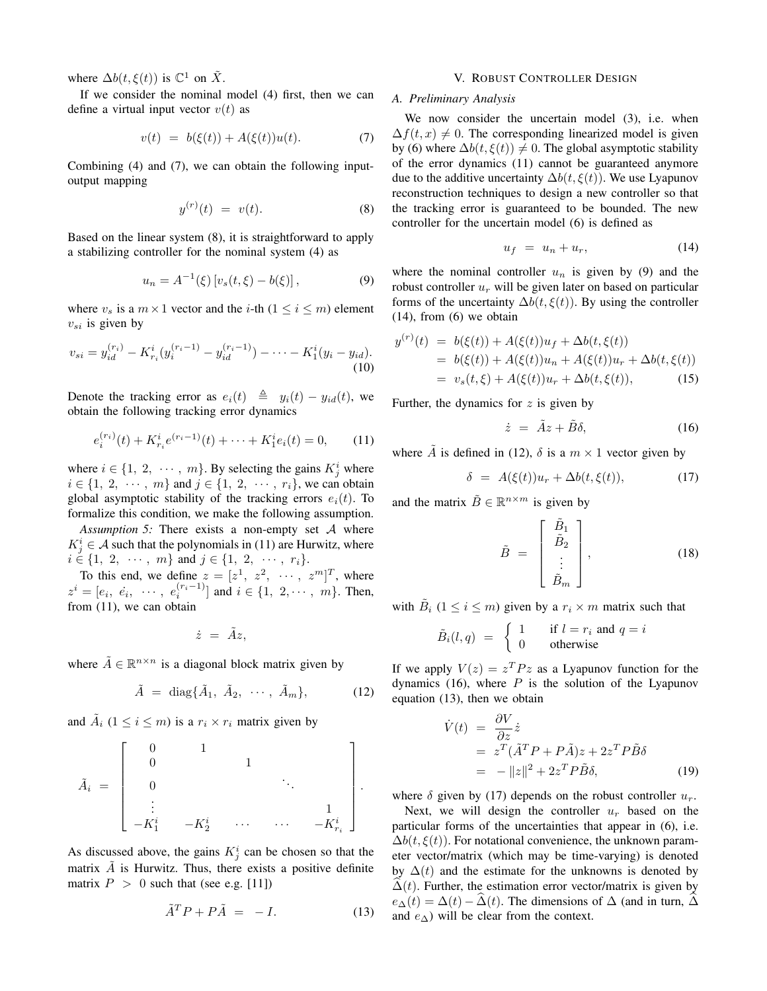where  $\Delta b(t,\xi(t))$  is  $\mathbb{C}^1$  on  $\tilde{X}$ .

If we consider the nominal model (4) first, then we can define a virtual input vector  $v(t)$  as

$$
v(t) = b(\xi(t)) + A(\xi(t))u(t).
$$
 (7)

Combining (4) and (7), we can obtain the following inputoutput mapping

$$
y^{(r)}(t) = v(t). \t\t(8)
$$

Based on the linear system (8), it is straightforward to apply a stabilizing controller for the nominal system (4) as

$$
u_n = A^{-1}(\xi) [v_s(t, \xi) - b(\xi)], \qquad (9)
$$

where  $v_s$  is a  $m \times 1$  vector and the *i*-th  $(1 \le i \le m)$  element  $v_{si}$  is given by

$$
v_{si} = y_{id}^{(r_i)} - K_{r_i}^i (y_i^{(r_i - 1)} - y_{id}^{(r_i - 1)}) - \dots - K_1^i (y_i - y_{id}).
$$
\n(10)

Denote the tracking error as  $e_i(t) \triangleq y_i(t) - y_{id}(t)$ , we obtain the following tracking error dynamics

$$
e_i^{(r_i)}(t) + K_{r_i}^i e^{(r_i - 1)}(t) + \dots + K_1^i e_i(t) = 0,
$$
 (11)

where  $i \in \{1, 2, \dots, m\}$ . By selecting the gains  $K_j^i$  where  $i \in \{1, 2, \cdots, m\}$  and  $j \in \{1, 2, \cdots, r_i\}$ , we can obtain global asymptotic stability of the tracking errors  $e_i(t)$ . To formalize this condition, we make the following assumption.

*Assumption 5:* There exists a non-empty set A where  $K_j^i \in \mathcal{A}$  such that the polynomials in (11) are Hurwitz, where  $i \in \{1, 2, \cdots, m\}$  and  $j \in \{1, 2, \cdots, r_i\}.$ 

To this end, we define  $z = [z^1, z^2, \cdots, z^m]^T$ , where  $z^i = [e_i, e_i, \dots, e_i^{(r_i-1)}]$  and  $i \in \{1, 2, \dots, m\}$ . Then, from (11), we can obtain

$$
\dot{z}~=~\tilde{A}z,
$$

where  $\tilde{A} \in \mathbb{R}^{n \times n}$  is a diagonal block matrix given by

$$
\tilde{A} = \text{diag}\{\tilde{A}_1, \tilde{A}_2, \cdots, \tilde{A}_m\},\tag{12}
$$

and  $\tilde{A}_i$   $(1 \leq i \leq m)$  is a  $r_i \times r_i$  matrix given by

$$
\tilde{A}_i = \begin{bmatrix} 0 & 1 & & & \\ 0 & & 1 & & \\ & 0 & & & \ddots & \\ & & \vdots & & & \\ -K_1^i & -K_2^i & \cdots & \cdots & -K_{r_i}^i \end{bmatrix}.
$$

As discussed above, the gains  $K_j^i$  can be chosen so that the matrix  $\vec{A}$  is Hurwitz. Thus, there exists a positive definite matrix  $P > 0$  such that (see e.g. [11])

$$
\tilde{A}^T P + P \tilde{A} = -I. \tag{13}
$$

## V. ROBUST CONTROLLER DESIGN

## *A. Preliminary Analysis*

We now consider the uncertain model (3), i.e. when  $\Delta f(t, x) \neq 0$ . The corresponding linearized model is given by (6) where  $\Delta b(t, \xi(t)) \neq 0$ . The global asymptotic stability of the error dynamics (11) cannot be guaranteed anymore due to the additive uncertainty  $\Delta b(t, \xi(t))$ . We use Lyapunov reconstruction techniques to design a new controller so that the tracking error is guaranteed to be bounded. The new controller for the uncertain model (6) is defined as

$$
u_f = u_n + u_r, \tag{14}
$$

where the nominal controller  $u_n$  is given by (9) and the robust controller  $u_r$  will be given later on based on particular forms of the uncertainty  $\Delta b(t, \xi(t))$ . By using the controller (14), from (6) we obtain

$$
y^{(r)}(t) = b(\xi(t)) + A(\xi(t))u_f + \Delta b(t, \xi(t))
$$
  
= b(\xi(t)) + A(\xi(t))u\_n + A(\xi(t))u\_r + \Delta b(t, \xi(t))  
= v\_s(t, \xi) + A(\xi(t))u\_r + \Delta b(t, \xi(t)), (15)

Further, the dynamics for  $z$  is given by

$$
\dot{z} = \tilde{A}z + \tilde{B}\delta, \tag{16}
$$

where  $\tilde{A}$  is defined in (12),  $\delta$  is a  $m \times 1$  vector given by

$$
\delta = A(\xi(t))u_r + \Delta b(t, \xi(t)), \qquad (17)
$$

and the matrix  $\tilde{B} \in \mathbb{R}^{n \times m}$  is given by

$$
\tilde{B} = \begin{bmatrix} \tilde{B}_1 \\ \tilde{B}_2 \\ \vdots \\ \tilde{B}_m \end{bmatrix},
$$
\n(18)

with  $\tilde{B}_i$   $(1 \leq i \leq m)$  given by a  $r_i \times m$  matrix such that

$$
\tilde{B}_i(l,q) \ = \ \begin{cases}\n1 & \text{if } l = r_i \text{ and } q = i \\
0 & \text{otherwise}\n\end{cases}
$$

If we apply  $V(z) = z^T P z$  as a Lyapunov function for the dynamics (16), where  $P$  is the solution of the Lyapunov equation (13), then we obtain

$$
\dot{V}(t) = \frac{\partial V}{\partial z}\dot{z}
$$
\n
$$
= z^{T}(\tilde{A}^{T}P + P\tilde{A})z + 2z^{T}P\tilde{B}\delta
$$
\n
$$
= -||z||^{2} + 2z^{T}P\tilde{B}\delta,
$$
\n(19)

where  $\delta$  given by (17) depends on the robust controller  $u_r$ .

Next, we will design the controller  $u_r$  based on the particular forms of the uncertainties that appear in (6), i.e.  $\Delta b(t, \xi(t))$ . For notational convenience, the unknown parameter vector/matrix (which may be time-varying) is denoted by  $\Delta(t)$  and the estimate for the unknowns is denoted by  $\Delta(t)$ . Further, the estimation error vector/matrix is given by  $e_{\Delta}(t) = \Delta(t) - \hat{\Delta}(t)$ . The dimensions of  $\Delta$  (and in turn,  $\hat{\Delta}$ ) and  $e_{\Delta}$ ) will be clear from the context.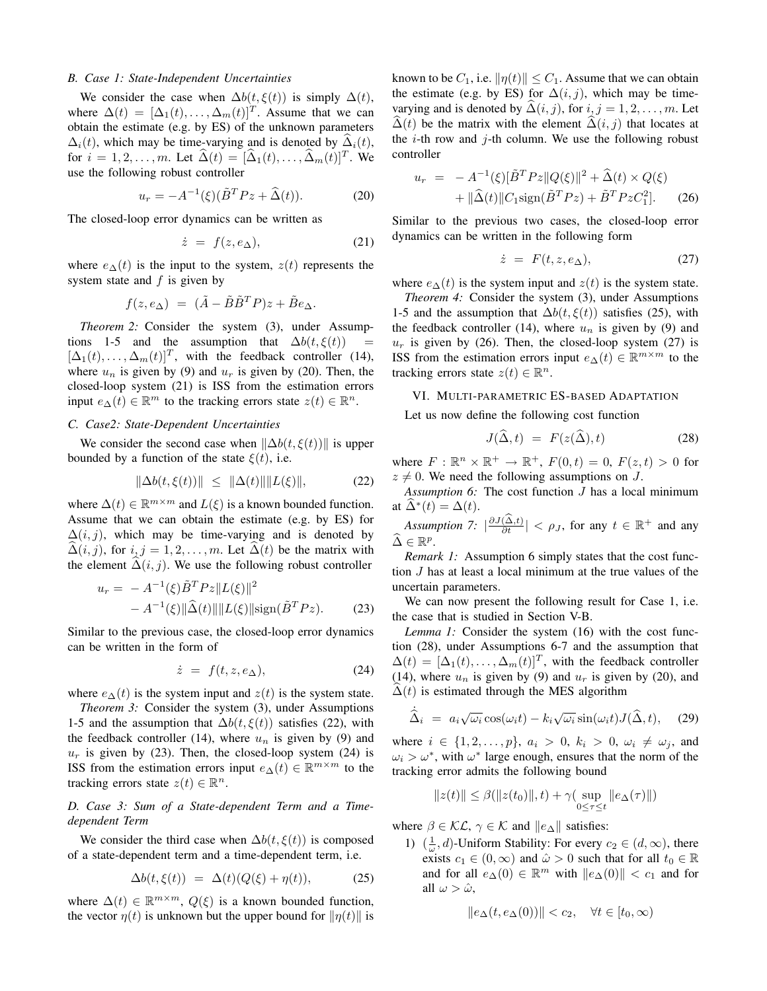#### *B. Case 1: State-Independent Uncertainties*

We consider the case when  $\Delta b(t, \xi(t))$  is simply  $\Delta(t)$ , where  $\Delta(t) = [\Delta_1(t), \dots, \Delta_m(t)]^T$ . Assume that we can obtain the estimate (e.g. by ES) of the unknown parameters  $\Delta_i(t)$ , which may be time-varying and is denoted by  $\Delta_i(t)$ , for  $i = 1, 2, ..., m$ . Let  $\widehat{\Delta}(t) = [\widehat{\Delta}_1(t), ..., \widehat{\Delta}_m(t)]^T$ . We use the following robust controller

$$
u_r = -A^{-1}(\xi)(\tilde{B}^T P z + \hat{\Delta}(t)).
$$
 (20)

The closed-loop error dynamics can be written as

$$
\dot{z} = f(z, e_{\Delta}), \tag{21}
$$

where  $e_{\Delta}(t)$  is the input to the system,  $z(t)$  represents the system state and  $f$  is given by

$$
f(z, e_{\Delta}) = (\tilde{A} - \tilde{B}\tilde{B}^T P)z + \tilde{B}e_{\Delta}.
$$

*Theorem 2:* Consider the system (3), under Assumptions 1-5 and the assumption that  $\Delta b(t, \xi(t))$  =  $[\Delta_1(t), \ldots, \Delta_m(t)]^T$ , with the feedback controller (14), where  $u_n$  is given by (9) and  $u_r$  is given by (20). Then, the closed-loop system (21) is ISS from the estimation errors input  $e_{\Delta}(t) \in \mathbb{R}^m$  to the tracking errors state  $z(t) \in \mathbb{R}^n$ .

## *C. Case2: State-Dependent Uncertainties*

We consider the second case when  $\|\Delta b(t, \xi(t))\|$  is upper bounded by a function of the state  $\xi(t)$ , i.e.

$$
\|\Delta b(t,\xi(t))\| \le \|\Delta(t)\| \|L(\xi)\|, \tag{22}
$$

where  $\Delta(t) \in \mathbb{R}^{m \times m}$  and  $L(\xi)$  is a known bounded function. Assume that we can obtain the estimate (e.g. by ES) for  $\Delta(i, j)$ , which may be time-varying and is denoted by  $\Delta(i, j)$ , for  $i, j = 1, 2, \dots, m$ . Let  $\Delta(t)$  be the matrix with the element  $\Delta(i, j)$ . We use the following robust controller

$$
u_r = -A^{-1}(\xi)\tilde{B}^T P z ||L(\xi)||^2 -A^{-1}(\xi)||\hat{\Delta}(t)|| ||L(\xi)|| \text{sign}(\tilde{B}^T P z).
$$
 (23)

Similar to the previous case, the closed-loop error dynamics can be written in the form of

$$
\dot{z} = f(t, z, e_{\Delta}), \tag{24}
$$

where  $e_{\Delta}(t)$  is the system input and  $z(t)$  is the system state.

*Theorem 3:* Consider the system (3), under Assumptions 1-5 and the assumption that  $\Delta b(t, \xi(t))$  satisfies (22), with the feedback controller (14), where  $u_n$  is given by (9) and  $u_r$  is given by (23). Then, the closed-loop system (24) is ISS from the estimation errors input  $e_{\Delta}(t) \in \mathbb{R}^{m \times m}$  to the tracking errors state  $z(t) \in \mathbb{R}^n$ .

*D. Case 3: Sum of a State-dependent Term and a Timedependent Term*

We consider the third case when  $\Delta b(t, \xi(t))$  is composed of a state-dependent term and a time-dependent term, i.e.

$$
\Delta b(t,\xi(t)) = \Delta(t)(Q(\xi) + \eta(t)), \tag{25}
$$

where  $\Delta(t) \in \mathbb{R}^{m \times m}$ ,  $Q(\xi)$  is a known bounded function, the vector  $\eta(t)$  is unknown but the upper bound for  $\|\eta(t)\|$  is known to be  $C_1$ , i.e.  $\|\eta(t)\| \leq C_1$ . Assume that we can obtain the estimate (e.g. by ES) for  $\Delta(i, j)$ , which may be timevarying and is denoted by  $\Delta(i, j)$ , for  $i, j = 1, 2, \ldots, m$ . Let  $\widehat{\Delta}(t)$  be the matrix with the element  $\widehat{\Delta}(i, j)$  that locates at the *i*-th row and *j*-th column. We use the following robust controller

$$
u_r = -A^{-1}(\xi)[\tilde{B}^T P z ||Q(\xi)||^2 + \hat{\Delta}(t) \times Q(\xi) + ||\hat{\Delta}(t)||C_1 \text{sign}(\tilde{B}^T P z) + \tilde{B}^T P z C_1^2].
$$
 (26)

Similar to the previous two cases, the closed-loop error dynamics can be written in the following form

$$
\dot{z} = F(t, z, e_{\Delta}), \tag{27}
$$

where  $e_{\Delta}(t)$  is the system input and  $z(t)$  is the system state.

*Theorem 4:* Consider the system (3), under Assumptions 1-5 and the assumption that  $\Delta b(t, \xi(t))$  satisfies (25), with the feedback controller (14), where  $u_n$  is given by (9) and  $u_r$  is given by (26). Then, the closed-loop system (27) is ISS from the estimation errors input  $e_{\Delta}(t) \in \mathbb{R}^{m \times m}$  to the tracking errors state  $z(t) \in \mathbb{R}^n$ .

## VI. MULTI-PARAMETRIC ES-BASED ADAPTATION

Let us now define the following cost function

$$
J(\widehat{\Delta}, t) = F(z(\widehat{\Delta}), t) \tag{28}
$$

where  $F: \mathbb{R}^n \times \mathbb{R}^+ \to \mathbb{R}^+, F(0,t) = 0, F(z,t) > 0$  for  $z \neq 0$ . We need the following assumptions on J.

*Assumption 6:* The cost function J has a local minimum at  $\widehat{\Delta}^*(t) = \Delta(t)$ .

*Assumption* 7:  $\left|\frac{\partial J(\Delta,t)}{\partial t}\right| < \rho_J$ , for any  $t \in \mathbb{R}^+$  and any  $\widehat{\Delta} \in \mathbb{R}^p$ .

*Remark 1:* Assumption 6 simply states that the cost function J has at least a local minimum at the true values of the uncertain parameters.

We can now present the following result for Case 1, i.e. the case that is studied in Section V-B.

*Lemma 1:* Consider the system (16) with the cost function (28), under Assumptions 6-7 and the assumption that  $\Delta(t) = [\Delta_1(t), \dots, \Delta_m(t)]^T$ , with the feedback controller (14), where  $u_n$  is given by (9) and  $u_r$  is given by (20), and  $\Delta(t)$  is estimated through the MES algorithm

$$
\dot{\hat{\Delta}}_i = a_i \sqrt{\omega_i} \cos(\omega_i t) - k_i \sqrt{\omega_i} \sin(\omega_i t) J(\hat{\Delta}, t), \quad (29)
$$

where  $i \in \{1, 2, ..., p\}$ ,  $a_i > 0$ ,  $k_i > 0$ ,  $\omega_i \neq \omega_j$ , and  $\omega_i > \omega^*$ , with  $\omega^*$  large enough, ensures that the norm of the tracking error admits the following bound

$$
||z(t)|| \leq \beta(||z(t_0)||, t) + \gamma \left(\sup_{0 \leq \tau \leq t} ||e_\Delta(\tau)||\right)
$$

where  $\beta \in \mathcal{KL}$ ,  $\gamma \in \mathcal{K}$  and  $||e_{\Delta}||$  satisfies:

1)  $(\frac{1}{\omega}, d)$ -Uniform Stability: For every  $c_2 \in (d, \infty)$ , there exists  $c_1 \in (0, \infty)$  and  $\hat{\omega} > 0$  such that for all  $t_0 \in \mathbb{R}$ and for all  $e_{\Delta}(0) \in \mathbb{R}^m$  with  $||e_{\Delta}(0)|| < c_1$  and for all  $\omega > \hat{\omega}$ ,

$$
||e_{\Delta}(t, e_{\Delta}(0))|| < c_2, \quad \forall t \in [t_0, \infty)
$$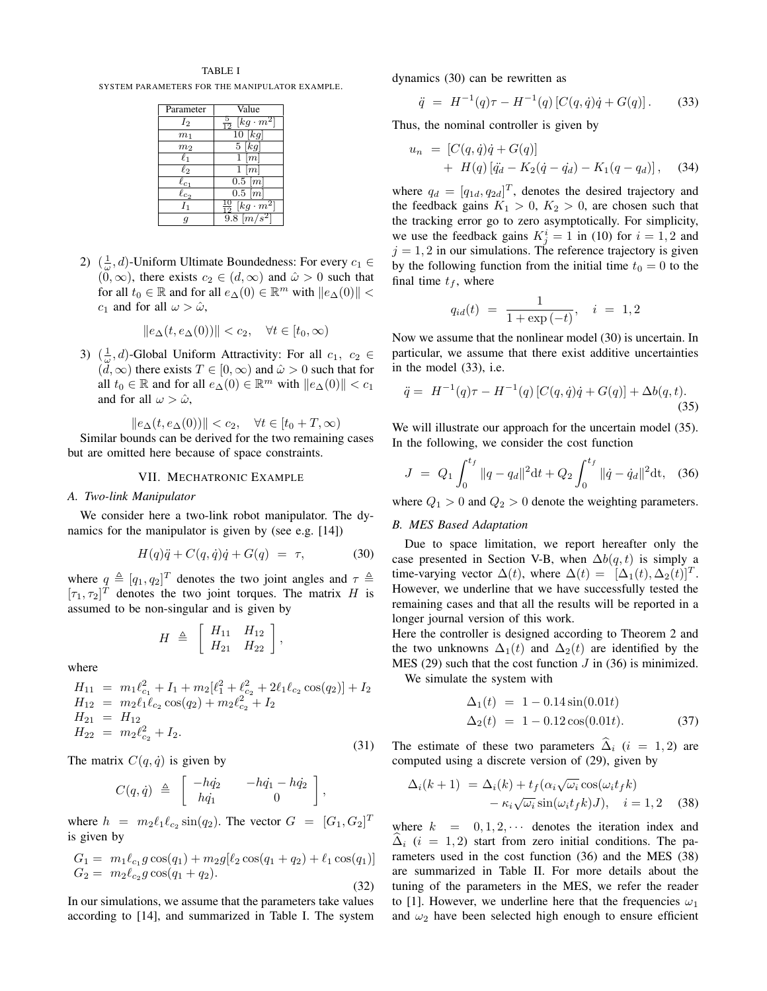## TABLE I

SYSTEM PARAMETERS FOR THE MANIPULATOR EXAMPLE.

| Parameter               | Value                             |
|-------------------------|-----------------------------------|
| $I_2$                   | $[kg\cdot m^2]$<br>$\overline{0}$ |
| m <sub>1</sub>          | [kg]<br>$\overline{10}$           |
| m <sub>2</sub>          | $5\,[kg]$                         |
| $\ell_1$                | $\lceil m \rceil$                 |
| $\ell_2$                | m                                 |
| $\overline{\ell}_{c_1}$ | $\overline{0.5}$ $\overline{m}$   |
| $\ell_{c_2}$            | $\overline{0.5}$ $\overline{m}$   |
| $I_1$                   | $[kg\cdot m^2]$                   |
| 9                       | 9.8 $\lfloor m/s^2 \rfloor$       |

2)  $(\frac{1}{\omega}, d)$ -Uniform Ultimate Boundedness: For every  $c_1 \in$  $(0, \infty)$ , there exists  $c_2 \in (d, \infty)$  and  $\hat{\omega} > 0$  such that for all  $t_0 \in \mathbb{R}$  and for all  $e_\Delta(0) \in \mathbb{R}^m$  with  $||e_\Delta(0)|| <$  $c_1$  and for all  $\omega > \hat{\omega}$ ,

$$
||e_{\Delta}(t, e_{\Delta}(0))|| < c_2, \quad \forall t \in [t_0, \infty)
$$

3)  $(\frac{1}{\omega}, d)$ -Global Uniform Attractivity: For all  $c_1, c_2 \in$  $(\tilde{d}, \infty)$  there exists  $T \in [0, \infty)$  and  $\hat{\omega} > 0$  such that for all  $t_0 \in \mathbb{R}$  and for all  $e_{\Delta}(0) \in \mathbb{R}^m$  with  $||e_{\Delta}(0)|| < c_1$ and for all  $\omega > \hat{\omega}$ ,

$$
||e_{\Delta}(t, e_{\Delta}(0))|| < c_2, \quad \forall t \in [t_0 + T, \infty)
$$

Similar bounds can be derived for the two remaining cases but are omitted here because of space constraints.

#### VII. MECHATRONIC EXAMPLE

## *A. Two-link Manipulator*

We consider here a two-link robot manipulator. The dynamics for the manipulator is given by (see e.g. [14])

$$
H(q)\ddot{q} + C(q,\dot{q})\dot{q} + G(q) = \tau, \tag{30}
$$

where  $q \triangleq [q_1, q_2]^T$  denotes the two joint angles and  $\tau \triangleq$  $[\tau_1, \tau_2]^T$  denotes the two joint torques. The matrix H is assumed to be non-singular and is given by

$$
H \triangleq \begin{bmatrix} H_{11} & H_{12} \\ H_{21} & H_{22} \end{bmatrix},
$$

where

$$
H_{11} = m_1 \ell_{c_1}^2 + I_1 + m_2 [\ell_1^2 + \ell_{c_2}^2 + 2\ell_1 \ell_{c_2} \cos(q_2)] + I_2
$$
  
\n
$$
H_{12} = m_2 \ell_1 \ell_{c_2} \cos(q_2) + m_2 \ell_{c_2}^2 + I_2
$$
  
\n
$$
H_{21} = H_{12}
$$
  
\n
$$
H_{22} = m_2 \ell_{c_2}^2 + I_2.
$$
\n(31)

The matrix  $C(q, \dot{q})$  is given by

$$
C(q, \dot{q}) \triangleq \begin{bmatrix} -h\dot{q}_2 & -h\dot{q}_1 - h\dot{q}_2 \\ h\dot{q}_1 & 0 \end{bmatrix},
$$

where  $h = m_2 \ell_1 \ell_{c_2} \sin(q_2)$ . The vector  $G = [G_1, G_2]^T$ is given by

$$
G_1 = m_1 \ell_{c_1} g \cos(q_1) + m_2 g [\ell_2 \cos(q_1 + q_2) + \ell_1 \cos(q_1)]
$$
  
\n
$$
G_2 = m_2 \ell_{c_2} g \cos(q_1 + q_2).
$$
\n(32)

In our simulations, we assume that the parameters take values according to [14], and summarized in Table I. The system dynamics (30) can be rewritten as

$$
\ddot{q} = H^{-1}(q)\tau - H^{-1}(q) [C(q, \dot{q})\dot{q} + G(q)]. \tag{33}
$$

Thus, the nominal controller is given by

$$
u_n = [C(q, \dot{q})\dot{q} + G(q)] + H(q) [\ddot{q}_d - K_2(\dot{q} - \dot{q}_d) - K_1(q - q_d)], \quad (34)
$$

where  $q_d = [q_{1d}, q_{2d}]^T$ , denotes the desired trajectory and the feedback gains  $K_1 > 0$ ,  $K_2 > 0$ , are chosen such that the tracking error go to zero asymptotically. For simplicity, we use the feedback gains  $K_j^i = 1$  in (10) for  $i = 1, 2$  and  $j = 1, 2$  in our simulations. The reference trajectory is given by the following function from the initial time  $t_0 = 0$  to the final time  $t_f$ , where

$$
q_{id}(t) = \frac{1}{1 + \exp(-t)}, \quad i = 1, 2
$$

Now we assume that the nonlinear model (30) is uncertain. In particular, we assume that there exist additive uncertainties in the model (33), i.e.

$$
\ddot{q} = H^{-1}(q)\tau - H^{-1}(q) \left[ C(q, \dot{q})\dot{q} + G(q) \right] + \Delta b(q, t). \tag{35}
$$

We will illustrate our approach for the uncertain model  $(35)$ . In the following, we consider the cost function

$$
J = Q_1 \int_0^{t_f} ||q - q_d||^2 dt + Q_2 \int_0^{t_f} ||\dot{q} - \dot{q}_d||^2 dt, \quad (36)
$$

where  $Q_1 > 0$  and  $Q_2 > 0$  denote the weighting parameters.

## *B. MES Based Adaptation*

Due to space limitation, we report hereafter only the case presented in Section V-B, when  $\Delta b(q, t)$  is simply a time-varying vector  $\Delta(t)$ , where  $\Delta(t) = [\Delta_1(t), \Delta_2(t)]^T$ . However, we underline that we have successfully tested the remaining cases and that all the results will be reported in a longer journal version of this work.

Here the controller is designed according to Theorem 2 and the two unknowns  $\Delta_1(t)$  and  $\Delta_2(t)$  are identified by the MES (29) such that the cost function  $J$  in (36) is minimized.

We simulate the system with

$$
\Delta_1(t) = 1 - 0.14 \sin(0.01t)
$$
  
\n
$$
\Delta_2(t) = 1 - 0.12 \cos(0.01t).
$$
 (37)

The estimate of these two parameters  $\hat{\Delta}_i$  (i = 1, 2) are computed using a discrete version of (29), given by

$$
\Delta_i(k+1) = \Delta_i(k) + t_f(\alpha_i \sqrt{\omega_i} \cos(\omega_i t_f k) - \kappa_i \sqrt{\omega_i} \sin(\omega_i t_f k) J), \quad i = 1, 2 \quad (38)
$$

where  $k = 0, 1, 2, \cdots$  denotes the iteration index and  $\Delta_i$  (i = 1, 2) start from zero initial conditions. The parameters used in the cost function (36) and the MES (38) are summarized in Table II. For more details about the tuning of the parameters in the MES, we refer the reader to [1]. However, we underline here that the frequencies  $\omega_1$ and  $\omega_2$  have been selected high enough to ensure efficient